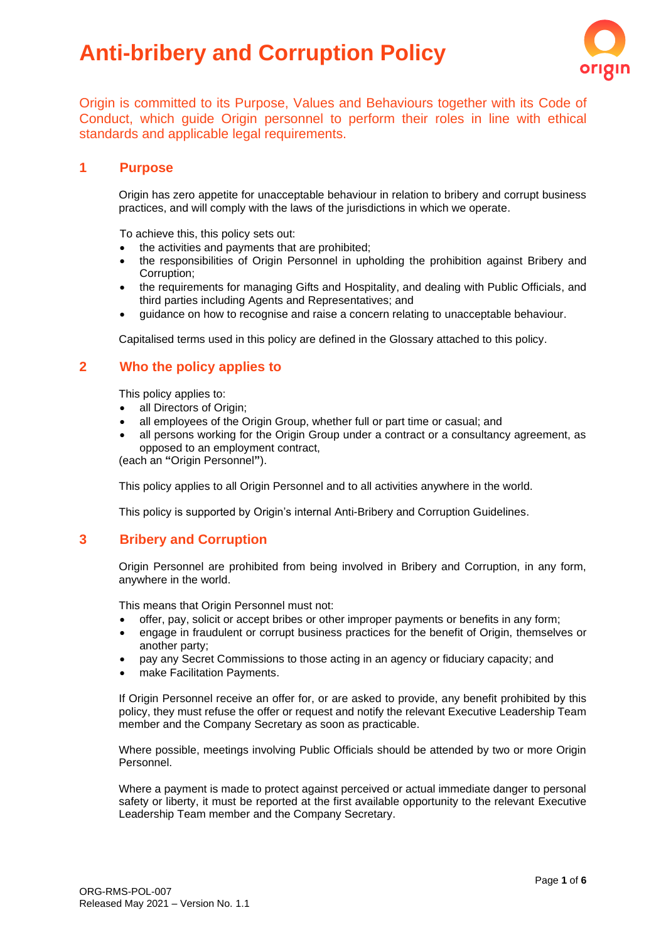# **Anti-bribery and Corruption Policy**



Origin is committed to its Purpose, Values and Behaviours together with its Code of Conduct, which guide Origin personnel to perform their roles in line with ethical standards and applicable legal requirements.

## **1 Purpose**

Origin has zero appetite for unacceptable behaviour in relation to bribery and corrupt business practices, and will comply with the laws of the jurisdictions in which we operate.

To achieve this, this policy sets out:

- the activities and payments that are prohibited;
- the responsibilities of Origin Personnel in upholding the prohibition against Bribery and Corruption;
- the requirements for managing Gifts and Hospitality, and dealing with Public Officials, and third parties including Agents and Representatives; and
- guidance on how to recognise and raise a concern relating to unacceptable behaviour.

Capitalised terms used in this policy are defined in the Glossary attached to this policy.

## **2 Who the policy applies to**

This policy applies to:

- all Directors of Origin;
- all employees of the Origin Group, whether full or part time or casual; and
- all persons working for the Origin Group under a contract or a consultancy agreement, as opposed to an employment contract,

(each an **"**Origin Personnel**"**).

This policy applies to all Origin Personnel and to all activities anywhere in the world.

This policy is supported by Origin's internal Anti-Bribery and Corruption Guidelines.

## **3 Bribery and Corruption**

Origin Personnel are prohibited from being involved in Bribery and Corruption, in any form, anywhere in the world.

This means that Origin Personnel must not:

- offer, pay, solicit or accept bribes or other improper payments or benefits in any form;
- engage in fraudulent or corrupt business practices for the benefit of Origin, themselves or another party;
- pay any Secret Commissions to those acting in an agency or fiduciary capacity; and
- make Facilitation Payments.

If Origin Personnel receive an offer for, or are asked to provide, any benefit prohibited by this policy, they must refuse the offer or request and notify the relevant Executive Leadership Team member and the Company Secretary as soon as practicable.

Where possible, meetings involving Public Officials should be attended by two or more Origin Personnel.

Where a payment is made to protect against perceived or actual immediate danger to personal safety or liberty, it must be reported at the first available opportunity to the relevant Executive Leadership Team member and the Company Secretary.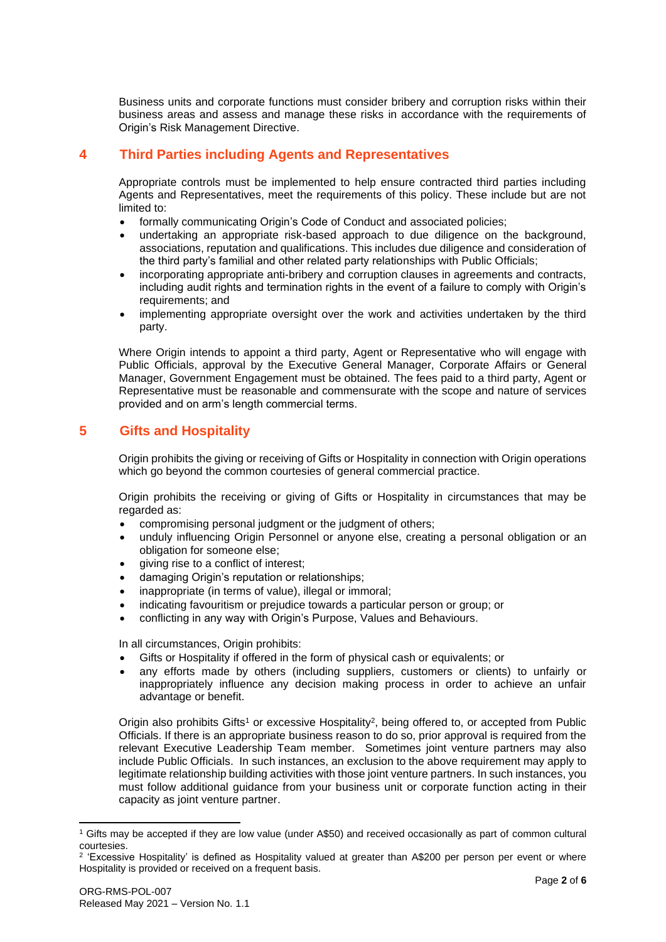Business units and corporate functions must consider bribery and corruption risks within their business areas and assess and manage these risks in accordance with the requirements of Origin's Risk Management Directive.

# **4 Third Parties including Agents and Representatives**

Appropriate controls must be implemented to help ensure contracted third parties including Agents and Representatives, meet the requirements of this policy. These include but are not limited to:

- formally communicating Origin's Code of Conduct and associated policies;
- undertaking an appropriate risk-based approach to due diligence on the background, associations, reputation and qualifications. This includes due diligence and consideration of the third party's familial and other related party relationships with Public Officials;
- incorporating appropriate anti-bribery and corruption clauses in agreements and contracts, including audit rights and termination rights in the event of a failure to comply with Origin's requirements; and
- implementing appropriate oversight over the work and activities undertaken by the third party.

Where Origin intends to appoint a third party, Agent or Representative who will engage with Public Officials, approval by the Executive General Manager, Corporate Affairs or General Manager, Government Engagement must be obtained. The fees paid to a third party, Agent or Representative must be reasonable and commensurate with the scope and nature of services provided and on arm's length commercial terms.

## **5 Gifts and Hospitality**

Origin prohibits the giving or receiving of Gifts or Hospitality in connection with Origin operations which go beyond the common courtesies of general commercial practice.

Origin prohibits the receiving or giving of Gifts or Hospitality in circumstances that may be regarded as:

- compromising personal judgment or the judgment of others;
- unduly influencing Origin Personnel or anyone else, creating a personal obligation or an obligation for someone else;
- giving rise to a conflict of interest;
- damaging Origin's reputation or relationships;
- inappropriate (in terms of value), illegal or immoral;
- indicating favouritism or prejudice towards a particular person or group; or
- conflicting in any way with Origin's Purpose, Values and Behaviours.

In all circumstances, Origin prohibits:

- Gifts or Hospitality if offered in the form of physical cash or equivalents; or
- any efforts made by others (including suppliers, customers or clients) to unfairly or inappropriately influence any decision making process in order to achieve an unfair advantage or benefit.

Origin also prohibits Gifts<sup>1</sup> or excessive Hospitality<sup>2</sup>, being offered to, or accepted from Public Officials. If there is an appropriate business reason to do so, prior approval is required from the relevant Executive Leadership Team member. Sometimes joint venture partners may also include Public Officials. In such instances, an exclusion to the above requirement may apply to legitimate relationship building activities with those joint venture partners. In such instances, you must follow additional guidance from your business unit or corporate function acting in their capacity as joint venture partner.

<sup>1</sup> Gifts may be accepted if they are low value (under A\$50) and received occasionally as part of common cultural courtesies.

<sup>2</sup> 'Excessive Hospitality' is defined as Hospitality valued at greater than A\$200 per person per event or where Hospitality is provided or received on a frequent basis.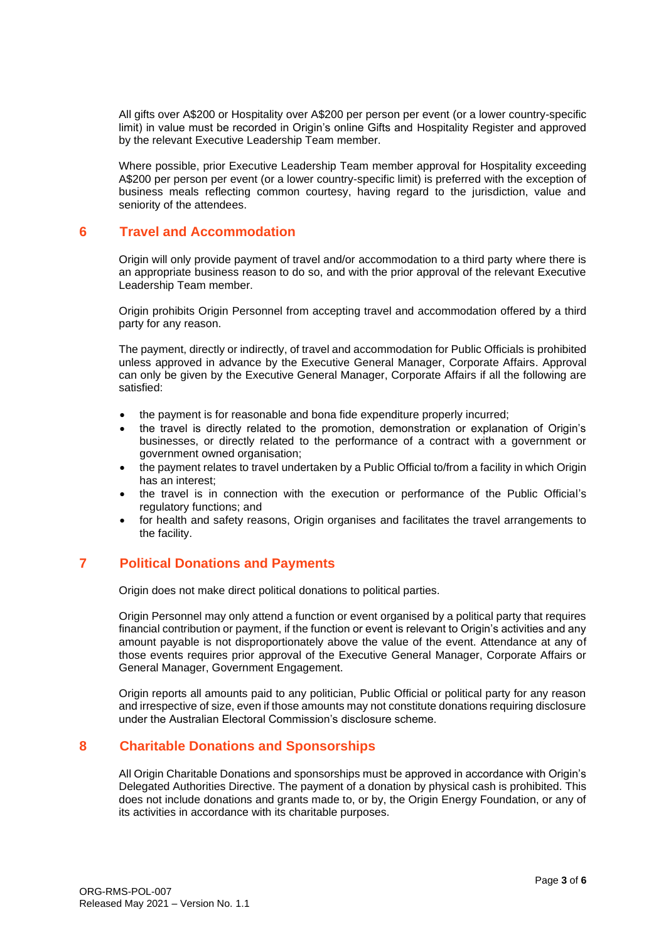All gifts over A\$200 or Hospitality over A\$200 per person per event (or a lower country-specific limit) in value must be recorded in Origin's online Gifts and Hospitality Register and approved by the relevant Executive Leadership Team member.

Where possible, prior Executive Leadership Team member approval for Hospitality exceeding A\$200 per person per event (or a lower country-specific limit) is preferred with the exception of business meals reflecting common courtesy, having regard to the jurisdiction, value and seniority of the attendees.

## **6 Travel and Accommodation**

Origin will only provide payment of travel and/or accommodation to a third party where there is an appropriate business reason to do so, and with the prior approval of the relevant Executive Leadership Team member.

Origin prohibits Origin Personnel from accepting travel and accommodation offered by a third party for any reason.

The payment, directly or indirectly, of travel and accommodation for Public Officials is prohibited unless approved in advance by the Executive General Manager, Corporate Affairs. Approval can only be given by the Executive General Manager, Corporate Affairs if all the following are satisfied:

- the payment is for reasonable and bona fide expenditure properly incurred;
- the travel is directly related to the promotion, demonstration or explanation of Origin's businesses, or directly related to the performance of a contract with a government or government owned organisation;
- the payment relates to travel undertaken by a Public Official to/from a facility in which Origin has an interest;
- the travel is in connection with the execution or performance of the Public Official's regulatory functions; and
- for health and safety reasons, Origin organises and facilitates the travel arrangements to the facility.

# **7 Political Donations and Payments**

Origin does not make direct political donations to political parties.

Origin Personnel may only attend a function or event organised by a political party that requires financial contribution or payment, if the function or event is relevant to Origin's activities and any amount payable is not disproportionately above the value of the event. Attendance at any of those events requires prior approval of the Executive General Manager, Corporate Affairs or General Manager, Government Engagement.

Origin reports all amounts paid to any politician, Public Official or political party for any reason and irrespective of size, even if those amounts may not constitute donations requiring disclosure under the Australian Electoral Commission's disclosure scheme.

# **8 Charitable Donations and Sponsorships**

All Origin Charitable Donations and sponsorships must be approved in accordance with Origin's Delegated Authorities Directive. The payment of a donation by physical cash is prohibited. This does not include donations and grants made to, or by, the Origin Energy Foundation, or any of its activities in accordance with its charitable purposes.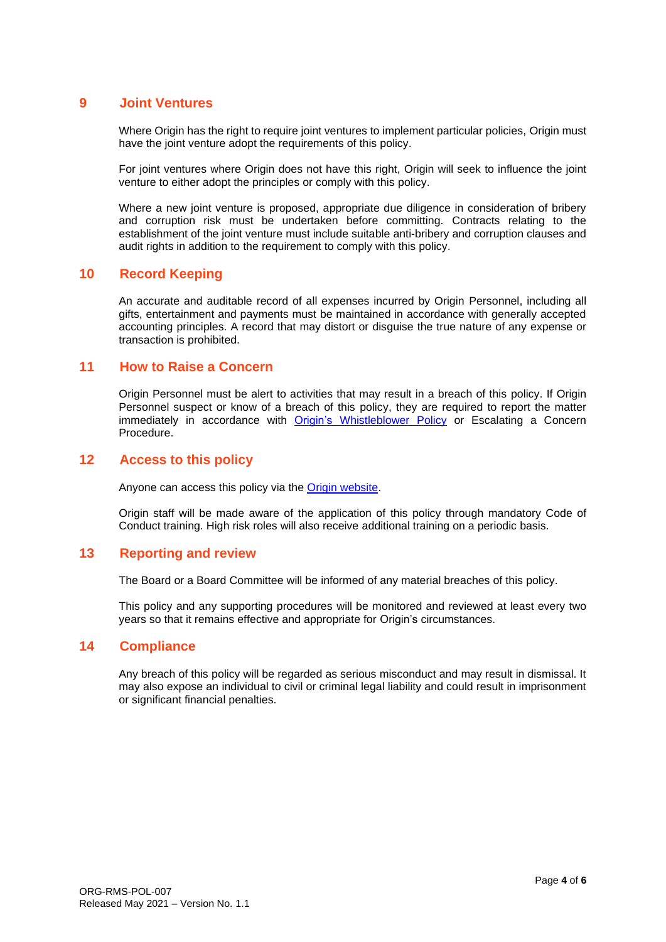## **9 Joint Ventures**

Where Origin has the right to require joint ventures to implement particular policies. Origin must have the joint venture adopt the requirements of this policy.

For joint ventures where Origin does not have this right. Origin will seek to influence the joint venture to either adopt the principles or comply with this policy.

Where a new joint venture is proposed, appropriate due diligence in consideration of bribery and corruption risk must be undertaken before committing. Contracts relating to the establishment of the joint venture must include suitable anti-bribery and corruption clauses and audit rights in addition to the requirement to comply with this policy.

#### **10 Record Keeping**

An accurate and auditable record of all expenses incurred by Origin Personnel, including all gifts, entertainment and payments must be maintained in accordance with generally accepted accounting principles. A record that may distort or disguise the true nature of any expense or transaction is prohibited.

#### **11 How to Raise a Concern**

Origin Personnel must be alert to activities that may result in a breach of this policy. If Origin Personnel suspect or know of a breach of this policy, they are required to report the matter immediately in accordance with [Origin's Whistleblower Policy](https://www.originenergy.com.au/content/dam/origin/about/investors-media/documents/whistleblower-policy.pdf) or Escalating a Concern Procedure.

#### **12 Access to this policy**

Anyone can access this policy via the **Origin website**.

Origin staff will be made aware of the application of this policy through mandatory Code of Conduct training. High risk roles will also receive additional training on a periodic basis.

## **13 Reporting and review**

The Board or a Board Committee will be informed of any material breaches of this policy.

This policy and any supporting procedures will be monitored and reviewed at least every two years so that it remains effective and appropriate for Origin's circumstances.

#### **14 Compliance**

Any breach of this policy will be regarded as serious misconduct and may result in dismissal. It may also expose an individual to civil or criminal legal liability and could result in imprisonment or significant financial penalties.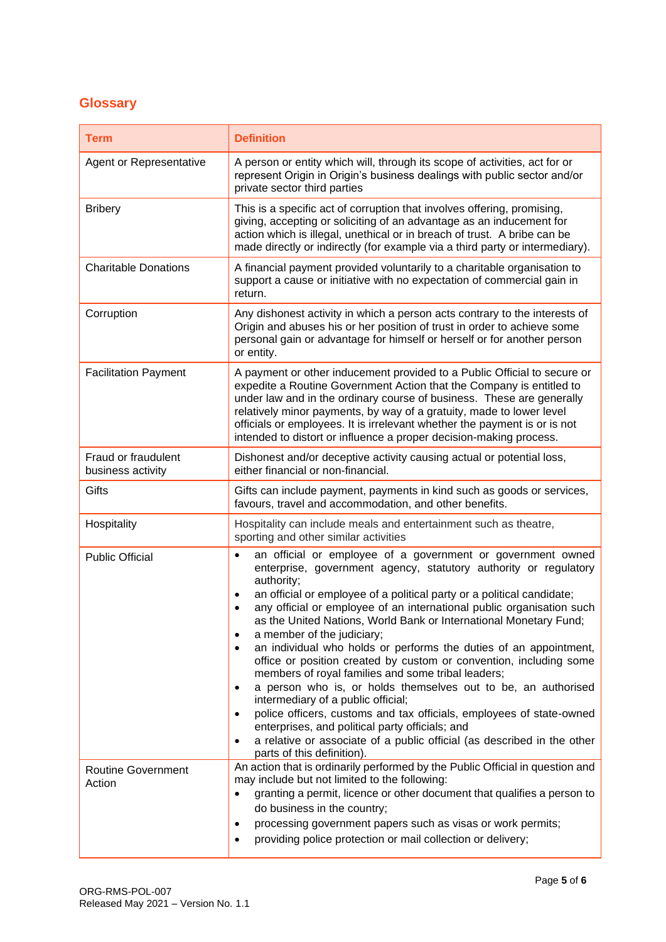# **Glossary**

| <b>Term</b>                              | <b>Definition</b>                                                                                                                                                                                                                                                                                                                                                                                                                                                                                                                                                                                                                                                                                                                                                                                                                                                                                                                                                         |
|------------------------------------------|---------------------------------------------------------------------------------------------------------------------------------------------------------------------------------------------------------------------------------------------------------------------------------------------------------------------------------------------------------------------------------------------------------------------------------------------------------------------------------------------------------------------------------------------------------------------------------------------------------------------------------------------------------------------------------------------------------------------------------------------------------------------------------------------------------------------------------------------------------------------------------------------------------------------------------------------------------------------------|
| Agent or Representative                  | A person or entity which will, through its scope of activities, act for or<br>represent Origin in Origin's business dealings with public sector and/or<br>private sector third parties                                                                                                                                                                                                                                                                                                                                                                                                                                                                                                                                                                                                                                                                                                                                                                                    |
| <b>Bribery</b>                           | This is a specific act of corruption that involves offering, promising,<br>giving, accepting or soliciting of an advantage as an inducement for<br>action which is illegal, unethical or in breach of trust. A bribe can be<br>made directly or indirectly (for example via a third party or intermediary).                                                                                                                                                                                                                                                                                                                                                                                                                                                                                                                                                                                                                                                               |
| <b>Charitable Donations</b>              | A financial payment provided voluntarily to a charitable organisation to<br>support a cause or initiative with no expectation of commercial gain in<br>return.                                                                                                                                                                                                                                                                                                                                                                                                                                                                                                                                                                                                                                                                                                                                                                                                            |
| Corruption                               | Any dishonest activity in which a person acts contrary to the interests of<br>Origin and abuses his or her position of trust in order to achieve some<br>personal gain or advantage for himself or herself or for another person<br>or entity.                                                                                                                                                                                                                                                                                                                                                                                                                                                                                                                                                                                                                                                                                                                            |
| <b>Facilitation Payment</b>              | A payment or other inducement provided to a Public Official to secure or<br>expedite a Routine Government Action that the Company is entitled to<br>under law and in the ordinary course of business. These are generally<br>relatively minor payments, by way of a gratuity, made to lower level<br>officials or employees. It is irrelevant whether the payment is or is not<br>intended to distort or influence a proper decision-making process.                                                                                                                                                                                                                                                                                                                                                                                                                                                                                                                      |
| Fraud or fraudulent<br>business activity | Dishonest and/or deceptive activity causing actual or potential loss,<br>either financial or non-financial.                                                                                                                                                                                                                                                                                                                                                                                                                                                                                                                                                                                                                                                                                                                                                                                                                                                               |
| Gifts                                    | Gifts can include payment, payments in kind such as goods or services,<br>favours, travel and accommodation, and other benefits.                                                                                                                                                                                                                                                                                                                                                                                                                                                                                                                                                                                                                                                                                                                                                                                                                                          |
| Hospitality                              | Hospitality can include meals and entertainment such as theatre,<br>sporting and other similar activities                                                                                                                                                                                                                                                                                                                                                                                                                                                                                                                                                                                                                                                                                                                                                                                                                                                                 |
| <b>Public Official</b>                   | an official or employee of a government or government owned<br>$\bullet$<br>enterprise, government agency, statutory authority or regulatory<br>authority;<br>an official or employee of a political party or a political candidate;<br>$\bullet$<br>any official or employee of an international public organisation such<br>as the United Nations, World Bank or International Monetary Fund;<br>a member of the judiciary;<br>an individual who holds or performs the duties of an appointment,<br>office or position created by custom or convention, including some<br>members of royal families and some tribal leaders;<br>a person who is, or holds themselves out to be, an authorised<br>intermediary of a public official;<br>police officers, customs and tax officials, employees of state-owned<br>enterprises, and political party officials; and<br>a relative or associate of a public official (as described in the other<br>parts of this definition). |
| <b>Routine Government</b><br>Action      | An action that is ordinarily performed by the Public Official in question and<br>may include but not limited to the following:<br>granting a permit, licence or other document that qualifies a person to<br>do business in the country;<br>processing government papers such as visas or work permits;<br>٠<br>providing police protection or mail collection or delivery;                                                                                                                                                                                                                                                                                                                                                                                                                                                                                                                                                                                               |